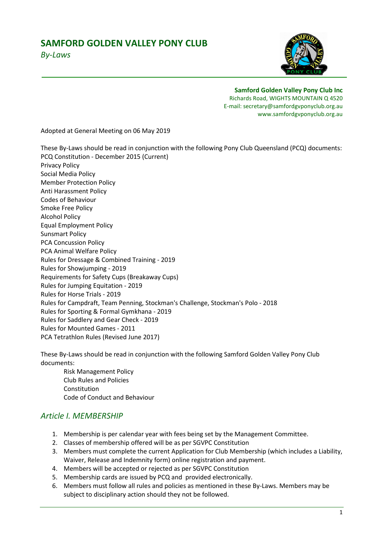# **SAMFORD GOLDEN VALLEY PONY CLUB**



*By-Laws* 

**Samford Golden Valley Pony Club Inc**  Richards Road, WIGHTS MOUNTAIN Q 4520

E-mail: secretary@samfordgvponyclub.org.au www.samfordgvponyclub.org.au

Adopted at General Meeting on 06 May 2019

These By-Laws should be read in conjunction with the following Pony Club Queensland (PCQ) documents: PCQ Constitution - December 2015 (Current) Privacy Policy Social Media Policy Member Protection Policy Anti Harassment Policy Codes of Behaviour Smoke Free Policy Alcohol Policy Equal Employment Policy Sunsmart Policy PCA Concussion Policy PCA Animal Welfare Policy Rules for Dressage & Combined Training - 2019 Rules for Showjumping - 2019 Requirements for Safety Cups (Breakaway Cups) Rules for Jumping Equitation - 2019 Rules for Horse Trials - 2019 Rules for Campdraft, Team Penning, Stockman's Challenge, Stockman's Polo - 2018 Rules for Sporting & Formal Gymkhana - 2019 Rules for Saddlery and Gear Check - 2019 Rules for Mounted Games - 2011 PCA Tetrathlon Rules (Revised June 2017)

These By-Laws should be read in conjunction with the following Samford Golden Valley Pony Club documents:

 Risk Management Policy Club Rules and Policies **Constitution** Code of Conduct and Behaviour

### *Article I. MEMBERSHIP*

- 1. Membership is per calendar year with fees being set by the Management Committee.
- 2. Classes of membership offered will be as per SGVPC Constitution
- 3. Members must complete the current Application for Club Membership (which includes a Liability, Waiver, Release and Indemnity form) online registration and payment.
- 4. Members will be accepted or rejected as per SGVPC Constitution
- 5. Membership cards are issued by PCQ and provided electronically.
- 6. Members must follow all rules and policies as mentioned in these By-Laws. Members may be subject to disciplinary action should they not be followed.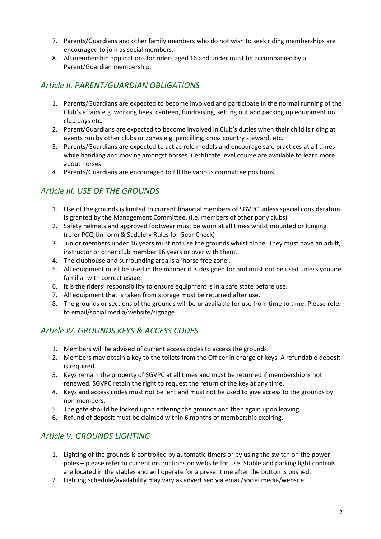- 7. Parents/Guardians and other family members who do not wish to seek riding memberships are encouraged to join as social members.
- 8. All membership applications for riders aged 16 and under must be accompanied by a Parent/Guardian membership.

## *Article II. PARENT/GUARDIAN OBLIGATIONS*

- 1. Parents/Guardians are expected to become involved and participate in the normal running of the Club's affairs e.g. working bees, canteen, fundraising, setting out and packing up equipment on club days etc.
- 2. Parent/Guardians are expected to become involved in Club's duties when their child is riding at events run by other clubs or zones e.g. pencilling, cross country steward, etc.
- 3. Parents/Guardians are expected to act as role models and encourage safe practices at all times while handling and moving amongst horses. Certificate level course are available to learn more about horses.
- 4. Parents/Guardians are encouraged to fill the various committee positions.

## *Article III. USE OF THE GROUNDS*

- 1. Use of the grounds is limited to current financial members of SGVPC unless special consideration is granted by the Management Committee. (i.e. members of other pony clubs)
- 2. Safety helmets and approved footwear must be worn at all times whilst mounted or lunging. (refer PCQ Uniform & Saddlery Rules for Gear Check)
- 3. Junior members under 16 years must not use the grounds whilst alone. They must have an adult, instructor or other club member 16 years or over with them.
- 4. The clubhouse and surrounding area is a 'horse free zone'.
- 5. All equipment must be used in the manner it is designed for and must not be used unless you are familiar with correct usage.
- 6. It is the riders' responsibility to ensure equipment is in a safe state before use.
- 7. All equipment that is taken from storage must be returned after use.
- 8. The grounds or sections of the grounds will be unavailable for use from time to time. Please refer to email/social media/website/signage.

### *Article IV. GROUNDS KEYS & ACCESS CODES*

- 1. Members will be advised of current access codes to access the grounds.
- 2. Members may obtain a key to the toilets from the Officer in charge of keys. A refundable deposit is required.
- 3. Keys remain the property of SGVPC at all times and must be returned if membership is not renewed. SGVPC retain the right to request the return of the key at any time.
- 4. Keys and access codes must not be lent and must not be used to give access to the grounds by non members.
- 5. The gate should be locked upon entering the grounds and then again upon leaving.
- 6. Refund of deposit must be claimed within 6 months of membership expiring.

## *Article V. GROUNDS LIGHTING*

- 1. Lighting of the grounds is controlled by automatic timers or by using the switch on the power poles – please refer to current instructions on website for use. Stable and parking light controls are located in the stables and will operate for a preset time after the button is pushed.
- 2. Lighting schedule/availability may vary as advertised via email/social media/website.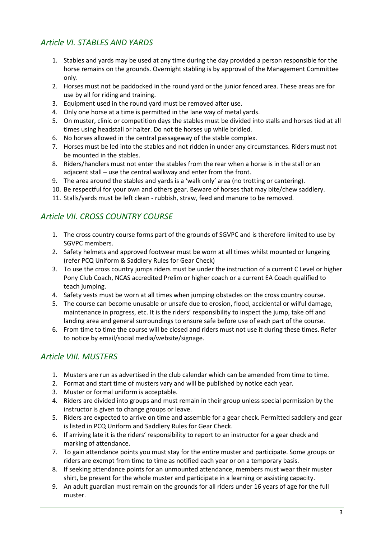## *Article VI. STABLES AND YARDS*

- 1. Stables and yards may be used at any time during the day provided a person responsible for the horse remains on the grounds. Overnight stabling is by approval of the Management Committee only.
- 2. Horses must not be paddocked in the round yard or the junior fenced area. These areas are for use by all for riding and training.
- 3. Equipment used in the round yard must be removed after use.
- 4. Only one horse at a time is permitted in the lane way of metal yards.
- 5. On muster, clinic or competition days the stables must be divided into stalls and horses tied at all times using headstall or halter. Do not tie horses up while bridled.
- 6. No horses allowed in the central passageway of the stable complex.
- 7. Horses must be led into the stables and not ridden in under any circumstances. Riders must not be mounted in the stables.
- 8. Riders/handlers must not enter the stables from the rear when a horse is in the stall or an adjacent stall – use the central walkway and enter from the front.
- 9. The area around the stables and yards is a 'walk only' area (no trotting or cantering).
- 10. Be respectful for your own and others gear. Beware of horses that may bite/chew saddlery.
- 11. Stalls/yards must be left clean rubbish, straw, feed and manure to be removed.

## *Article VII. CROSS COUNTRY COURSE*

- 1. The cross country course forms part of the grounds of SGVPC and is therefore limited to use by SGVPC members.
- 2. Safety helmets and approved footwear must be worn at all times whilst mounted or lungeing (refer PCQ Uniform & Saddlery Rules for Gear Check)
- 3. To use the cross country jumps riders must be under the instruction of a current C Level or higher Pony Club Coach, NCAS accredited Prelim or higher coach or a current EA Coach qualified to teach jumping.
- 4. Safety vests must be worn at all times when jumping obstacles on the cross country course.
- 5. The course can become unusable or unsafe due to erosion, flood, accidental or wilful damage, maintenance in progress, etc. It is the riders' responsibility to inspect the jump, take off and landing area and general surroundings to ensure safe before use of each part of the course.
- 6. From time to time the course will be closed and riders must not use it during these times. Refer to notice by email/social media/website/signage.

## *Article VIII. MUSTERS*

- 1. Musters are run as advertised in the club calendar which can be amended from time to time.
- 2. Format and start time of musters vary and will be published by notice each year.
- 3. Muster or formal uniform is acceptable.
- 4. Riders are divided into groups and must remain in their group unless special permission by the instructor is given to change groups or leave.
- 5. Riders are expected to arrive on time and assemble for a gear check. Permitted saddlery and gear is listed in PCQ Uniform and Saddlery Rules for Gear Check.
- 6. If arriving late it is the riders' responsibility to report to an instructor for a gear check and marking of attendance.
- 7. To gain attendance points you must stay for the entire muster and participate. Some groups or riders are exempt from time to time as notified each year or on a temporary basis.
- 8. If seeking attendance points for an unmounted attendance, members must wear their muster shirt, be present for the whole muster and participate in a learning or assisting capacity.
- 9. An adult guardian must remain on the grounds for all riders under 16 years of age for the full muster.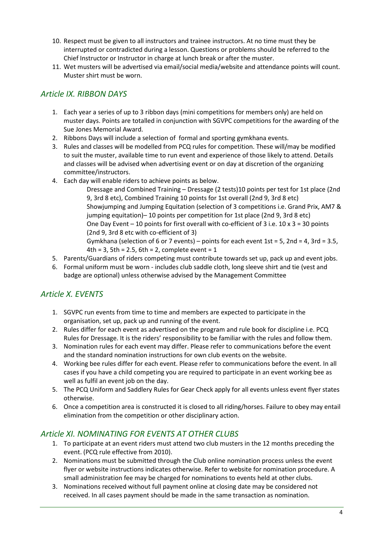- 10. Respect must be given to all instructors and trainee instructors. At no time must they be interrupted or contradicted during a lesson. Questions or problems should be referred to the Chief Instructor or Instructor in charge at lunch break or after the muster.
- 11. Wet musters will be advertised via email/social media/website and attendance points will count. Muster shirt must be worn.

### *Article IX. RIBBON DAYS*

- 1. Each year a series of up to 3 ribbon days (mini competitions for members only) are held on muster days. Points are totalled in conjunction with SGVPC competitions for the awarding of the Sue Jones Memorial Award.
- 2. Ribbons Days will include a selection of formal and sporting gymkhana events.
- 3. Rules and classes will be modelled from PCQ rules for competition. These will/may be modified to suit the muster, available time to run event and experience of those likely to attend. Details and classes will be advised when advertising event or on day at discretion of the organizing committee/instructors.
- 4. Each day will enable riders to achieve points as below.

 Dressage and Combined Training – Dressage (2 tests)10 points per test for 1st place (2nd 9, 3rd 8 etc), Combined Training 10 points for 1st overall (2nd 9, 3rd 8 etc) Showjumping and Jumping Equitation (selection of 3 competitions i.e. Grand Prix, AM7 & jumping equitation)– 10 points per competition for 1st place (2nd 9, 3rd 8 etc) One Day Event  $-10$  points for first overall with co-efficient of 3 i.e.  $10 \times 3 = 30$  points (2nd 9, 3rd 8 etc with co-efficient of 3) Gymkhana (selection of 6 or 7 events) – points for each event  $1st = 5$ ,  $2nd = 4$ ,  $3rd = 3.5$ ,

4th =  $3$ , 5th =  $2.5$ , 6th =  $2$ , complete event =  $1$ 

- 5. Parents/Guardians of riders competing must contribute towards set up, pack up and event jobs.
- 6. Formal uniform must be worn includes club saddle cloth, long sleeve shirt and tie (vest and badge are optional) unless otherwise advised by the Management Committee

## *Article X. EVENTS*

- 1. SGVPC run events from time to time and members are expected to participate in the organisation, set up, pack up and running of the event.
- 2. Rules differ for each event as advertised on the program and rule book for discipline i.e. PCQ Rules for Dressage. It is the riders' responsibility to be familiar with the rules and follow them.
- 3. Nomination rules for each event may differ. Please refer to communications before the event and the standard nomination instructions for own club events on the website.
- 4. Working bee rules differ for each event. Please refer to communications before the event. In all cases if you have a child competing you are required to participate in an event working bee as well as fulfil an event job on the day.
- 5. The PCQ Uniform and Saddlery Rules for Gear Check apply for all events unless event flyer states otherwise.
- 6. Once a competition area is constructed it is closed to all riding/horses. Failure to obey may entail elimination from the competition or other disciplinary action.

### *Article XI. NOMINATING FOR EVENTS AT OTHER CLUBS*

- 1. To participate at an event riders must attend two club musters in the 12 months preceding the event. (PCQ rule effective from 2010).
- 2. Nominations must be submitted through the Club online nomination process unless the event flyer or website instructions indicates otherwise. Refer to website for nomination procedure. A small administration fee may be charged for nominations to events held at other clubs.
- 3. Nominations received without full payment online at closing date may be considered not received. In all cases payment should be made in the same transaction as nomination.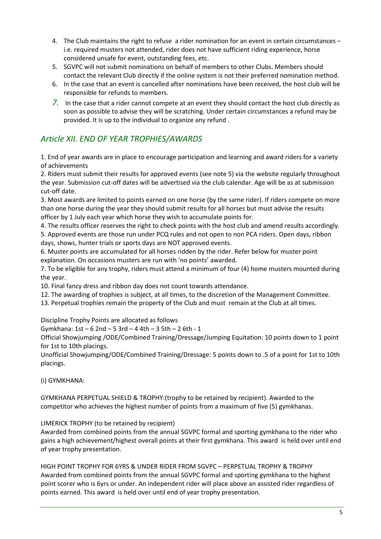- 4. The Club maintains the right to refuse a rider nomination for an event in certain circumstances i.e. required musters not attended, rider does not have sufficient riding experience, horse considered unsafe for event, outstanding fees, etc.
- 5. SGVPC will not submit nominations on behalf of members to other Clubs. Members should contact the relevant Club directly if the online system is not their preferred nomination method.
- 6. In the case that an event is cancelled after nominations have been received, the host club will be responsible for refunds to members.
- *7.* In the case that a rider cannot compete at an event they should contact the host club directly as soon as possible to advise they will be scratching. Under certain circumstances a refund may be provided. It is up to the individual to organize any refund .

## *Article XII. END OF YEAR TROPHIES/AWARDS*

1. End of year awards are in place to encourage participation and learning and award riders for a variety of achievements

2. Riders must submit their results for approved events (see note 5) via the website regularly throughout the year. Submission cut-off dates will be advertised via the club calendar. Age will be as at submission cut-off date.

3. Most awards are limited to points earned on one horse (by the same rider). If riders compete on more than one horse during the year they should submit results for all horses but must advise the results officer by 1 July each year which horse they wish to accumulate points for.

4. The results officer reserves the right to check points with the host club and amend results accordingly. 5. Approved events are those run under PCQ rules and not open to non PCA riders. Open days, ribbon days, shows, hunter trials or sports days are NOT approved events.

6. Muster points are accumulated for all horses ridden by the rider. Refer below for muster point explanation. On occasions musters are run with 'no points' awarded.

7. To be eligible for any trophy, riders must attend a minimum of four (4) home musters mounted during the year.

10. Final fancy dress and ribbon day does not count towards attendance.

- 12. The awarding of trophies is subject, at all times, to the discretion of the Management Committee.
- 13. Perpetual trophies remain the property of the Club and must remain at the Club at all times.

Discipline Trophy Points are allocated as follows

Gymkhana: 1st – 6 2nd – 5 3rd – 4 4th – 3 5th – 2 6th - 1

Official Showjumping /ODE/Combined Training/Dressage/Jumping Equitation: 10 points down to 1 point for 1st to 10th placings.

Unofficial Showjumping/ODE/Combined Training/Dressage: 5 points down to .5 of a point for 1st to 10th placings.

(i) GYMKHANA:

GYMKHANA PERPETUAL SHIELD & TROPHY:(trophy to be retained by recipient). Awarded to the competitor who achieves the highest number of points from a maximum of five (5) gymkhanas.

LIMERICK TROPHY (to be retained by recipient)

Awarded from combined points from the annual SGVPC formal and sporting gymkhana to the rider who gains a high achievement/highest overall points at their first gymkhana. This award is held over until end of year trophy presentation.

HIGH POINT TROPHY FOR 6YRS & UNDER RIDER FROM SGVPC – PERPETUAL TROPHY & TROPHY Awarded from combined points from the annual SGVPC formal and sporting gymkhana to the highest point scorer who is 6yrs or under. An independent rider will place above an assisted rider regardless of points earned. This award is held over until end of year trophy presentation.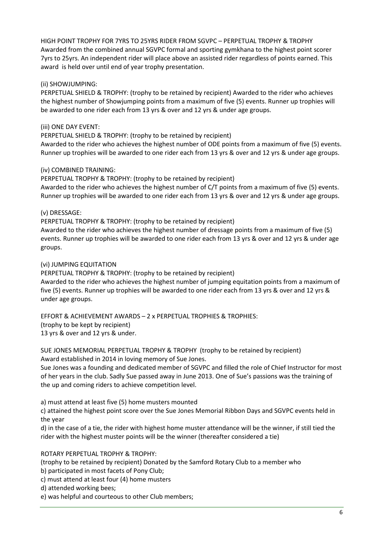HIGH POINT TROPHY FOR 7YRS TO 25YRS RIDER FROM SGVPC – PERPETUAL TROPHY & TROPHY Awarded from the combined annual SGVPC formal and sporting gymkhana to the highest point scorer 7yrs to 25yrs. An independent rider will place above an assisted rider regardless of points earned. This award is held over until end of year trophy presentation.

### (ii) SHOWJUMPING:

PERPETUAL SHIELD & TROPHY: (trophy to be retained by recipient) Awarded to the rider who achieves the highest number of Showjumping points from a maximum of five (5) events. Runner up trophies will be awarded to one rider each from 13 yrs & over and 12 yrs & under age groups.

### (iii) ONE DAY EVENT:

PERPETUAL SHIELD & TROPHY: (trophy to be retained by recipient)

Awarded to the rider who achieves the highest number of ODE points from a maximum of five (5) events. Runner up trophies will be awarded to one rider each from 13 yrs & over and 12 yrs & under age groups.

#### (iv) COMBINED TRAINING:

PERPETUAL TROPHY & TROPHY: (trophy to be retained by recipient) Awarded to the rider who achieves the highest number of C/T points from a maximum of five (5) events. Runner up trophies will be awarded to one rider each from 13 yrs & over and 12 yrs & under age groups.

#### (v) DRESSAGE:

PERPETUAL TROPHY & TROPHY: (trophy to be retained by recipient) Awarded to the rider who achieves the highest number of dressage points from a maximum of five (5) events. Runner up trophies will be awarded to one rider each from 13 yrs & over and 12 yrs & under age groups.

#### (vi) JUMPING EQUITATION

PERPETUAL TROPHY & TROPHY: (trophy to be retained by recipient) Awarded to the rider who achieves the highest number of jumping equitation points from a maximum of five (5) events. Runner up trophies will be awarded to one rider each from 13 yrs & over and 12 yrs &

under age groups.

EFFORT & ACHIEVEMENT AWARDS – 2 x PERPETUAL TROPHIES & TROPHIES: (trophy to be kept by recipient) 13 yrs & over and 12 yrs & under.

SUE JONES MEMORIAL PERPETUAL TROPHY & TROPHY (trophy to be retained by recipient) Award established in 2014 in loving memory of Sue Jones.

Sue Jones was a founding and dedicated member of SGVPC and filled the role of Chief Instructor for most of her years in the club. Sadly Sue passed away in June 2013. One of Sue's passions was the training of the up and coming riders to achieve competition level.

a) must attend at least five (5) home musters mounted

c) attained the highest point score over the Sue Jones Memorial Ribbon Days and SGVPC events held in the year

d) in the case of a tie, the rider with highest home muster attendance will be the winner, if still tied the rider with the highest muster points will be the winner (thereafter considered a tie)

### ROTARY PERPETUAL TROPHY & TROPHY:

(trophy to be retained by recipient) Donated by the Samford Rotary Club to a member who

b) participated in most facets of Pony Club; c) must attend at least four (4) home musters

- d) attended working bees;
- e) was helpful and courteous to other Club members;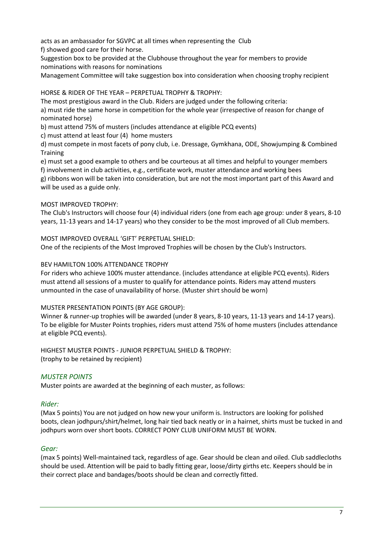acts as an ambassador for SGVPC at all times when representing the Club

f) showed good care for their horse.

Suggestion box to be provided at the Clubhouse throughout the year for members to provide nominations with reasons for nominations

Management Committee will take suggestion box into consideration when choosing trophy recipient

HORSE & RIDER OF THE YEAR – PERPETUAL TROPHY & TROPHY:

The most prestigious award in the Club. Riders are judged under the following criteria:

a) must ride the same horse in competition for the whole year (irrespective of reason for change of nominated horse)

b) must attend 75% of musters (includes attendance at eligible PCQ events)

c) must attend at least four (4) home musters

d) must compete in most facets of pony club, i.e. Dressage, Gymkhana, ODE, Showjumping & Combined **Training** 

e) must set a good example to others and be courteous at all times and helpful to younger members f) involvement in club activities, e.g., certificate work, muster attendance and working bees

g) ribbons won will be taken into consideration, but are not the most important part of this Award and will be used as a guide only.

### MOST IMPROVED TROPHY:

The Club's Instructors will choose four (4) individual riders (one from each age group: under 8 years, 8-10 years, 11-13 years and 14-17 years) who they consider to be the most improved of all Club members.

MOST IMPROVED OVERALL 'GIFT' PERPETUAL SHIELD:

One of the recipients of the Most Improved Trophies will be chosen by the Club's Instructors.

### BEV HAMILTON 100% ATTENDANCE TROPHY

For riders who achieve 100% muster attendance. (includes attendance at eligible PCQ events). Riders must attend all sessions of a muster to qualify for attendance points. Riders may attend musters unmounted in the case of unavailability of horse. (Muster shirt should be worn)

### MUSTER PRESENTATION POINTS (BY AGE GROUP):

Winner & runner-up trophies will be awarded (under 8 years, 8-10 years, 11-13 years and 14-17 years). To be eligible for Muster Points trophies, riders must attend 75% of home musters (includes attendance at eligible PCQ events).

HIGHEST MUSTER POINTS - JUNIOR PERPETUAL SHIELD & TROPHY: (trophy to be retained by recipient)

### *MUSTER POINTS*

Muster points are awarded at the beginning of each muster, as follows:

### *Rider:*

(Max 5 points) You are not judged on how new your uniform is. Instructors are looking for polished boots, clean jodhpurs/shirt/helmet, long hair tied back neatly or in a hairnet, shirts must be tucked in and jodhpurs worn over short boots. CORRECT PONY CLUB UNIFORM MUST BE WORN.

#### *Gear:*

(max 5 points) Well-maintained tack, regardless of age. Gear should be clean and oiled. Club saddlecloths should be used. Attention will be paid to badly fitting gear, loose/dirty girths etc. Keepers should be in their correct place and bandages/boots should be clean and correctly fitted.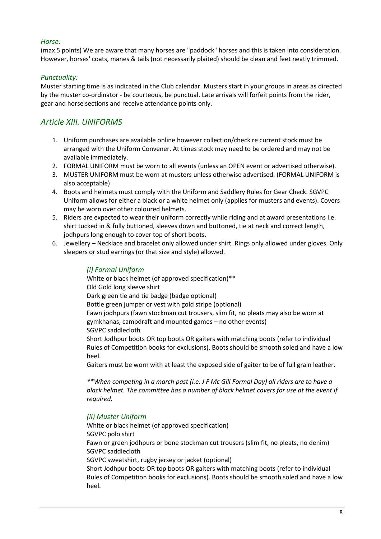### *Horse:*

(max 5 points) We are aware that many horses are "paddock" horses and this is taken into consideration. However, horses' coats, manes & tails (not necessarily plaited) should be clean and feet neatly trimmed.

### *Punctuality:*

Muster starting time is as indicated in the Club calendar. Musters start in your groups in areas as directed by the muster co-ordinator - be courteous, be punctual. Late arrivals will forfeit points from the rider, gear and horse sections and receive attendance points only.

## *Article XIII. UNIFORMS*

- 1. Uniform purchases are available online however collection/check re current stock must be arranged with the Uniform Convener. At times stock may need to be ordered and may not be available immediately.
- 2. FORMAL UNIFORM must be worn to all events (unless an OPEN event or advertised otherwise).
- 3. MUSTER UNIFORM must be worn at musters unless otherwise advertised. (FORMAL UNIFORM is also acceptable)
- 4. Boots and helmets must comply with the Uniform and Saddlery Rules for Gear Check. SGVPC Uniform allows for either a black or a white helmet only (applies for musters and events). Covers may be worn over other coloured helmets.
- 5. Riders are expected to wear their uniform correctly while riding and at award presentations i.e. shirt tucked in & fully buttoned, sleeves down and buttoned, tie at neck and correct length, jodhpurs long enough to cover top of short boots.
- 6. Jewellery Necklace and bracelet only allowed under shirt. Rings only allowed under gloves. Only sleepers or stud earrings (or that size and style) allowed.

### *(i) Formal Uniform*

White or black helmet (of approved specification)\*\* Old Gold long sleeve shirt Dark green tie and tie badge (badge optional) Bottle green jumper or vest with gold stripe (optional) Fawn jodhpurs (fawn stockman cut trousers, slim fit, no pleats may also be worn at gymkhanas, campdraft and mounted games – no other events) SGVPC saddlecloth Short Jodhpur boots OR top boots OR gaiters with matching boots (refer to individual Rules of Competition books for exclusions). Boots should be smooth soled and have a low heel. Gaiters must be worn with at least the exposed side of gaiter to be of full grain leather.

 *\*\*When competing in a march past (i.e. J F Mc Gill Formal Day) all riders are to have a black helmet. The committee has a number of black helmet covers for use at the event if required.* 

#### *(ii) Muster Uniform*

 White or black helmet (of approved specification) SGVPC polo shirt Fawn or green jodhpurs or bone stockman cut trousers (slim fit, no pleats, no denim) SGVPC saddlecloth SGVPC sweatshirt, rugby jersey or jacket (optional) Short Jodhpur boots OR top boots OR gaiters with matching boots (refer to individual Rules of Competition books for exclusions). Boots should be smooth soled and have a low heel.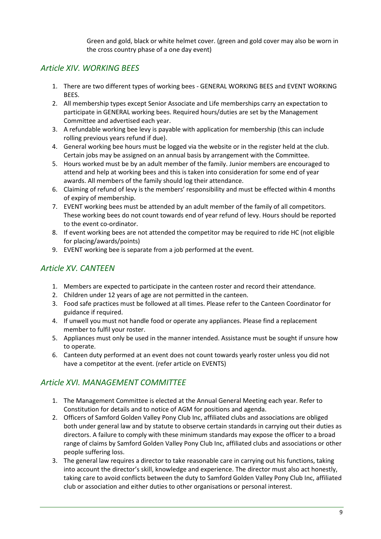Green and gold, black or white helmet cover. (green and gold cover may also be worn in the cross country phase of a one day event)

### *Article XIV. WORKING BEES*

- 1. There are two different types of working bees GENERAL WORKING BEES and EVENT WORKING BEES.
- 2. All membership types except Senior Associate and Life memberships carry an expectation to participate in GENERAL working bees. Required hours/duties are set by the Management Committee and advertised each year.
- 3. A refundable working bee levy is payable with application for membership (this can include rolling previous years refund if due).
- 4. General working bee hours must be logged via the website or in the register held at the club. Certain jobs may be assigned on an annual basis by arrangement with the Committee.
- 5. Hours worked must be by an adult member of the family. Junior members are encouraged to attend and help at working bees and this is taken into consideration for some end of year awards. All members of the family should log their attendance.
- 6. Claiming of refund of levy is the members' responsibility and must be effected within 4 months of expiry of membership.
- 7. EVENT working bees must be attended by an adult member of the family of all competitors. These working bees do not count towards end of year refund of levy. Hours should be reported to the event co-ordinator.
- 8. If event working bees are not attended the competitor may be required to ride HC (not eligible for placing/awards/points)
- 9. EVENT working bee is separate from a job performed at the event.

## *Article XV. CANTEEN*

- 1. Members are expected to participate in the canteen roster and record their attendance.
- 2. Children under 12 years of age are not permitted in the canteen.
- 3. Food safe practices must be followed at all times. Please refer to the Canteen Coordinator for guidance if required.
- 4. If unwell you must not handle food or operate any appliances. Please find a replacement member to fulfil your roster.
- 5. Appliances must only be used in the manner intended. Assistance must be sought if unsure how to operate.
- 6. Canteen duty performed at an event does not count towards yearly roster unless you did not have a competitor at the event. (refer article on EVENTS)

### *Article XVI. MANAGEMENT COMMITTEE*

- 1. The Management Committee is elected at the Annual General Meeting each year. Refer to Constitution for details and to notice of AGM for positions and agenda.
- 2. Officers of Samford Golden Valley Pony Club Inc, affiliated clubs and associations are obliged both under general law and by statute to observe certain standards in carrying out their duties as directors. A failure to comply with these minimum standards may expose the officer to a broad range of claims by Samford Golden Valley Pony Club Inc, affiliated clubs and associations or other people suffering loss.
- 3. The general law requires a director to take reasonable care in carrying out his functions, taking into account the director's skill, knowledge and experience. The director must also act honestly, taking care to avoid conflicts between the duty to Samford Golden Valley Pony Club Inc, affiliated club or association and either duties to other organisations or personal interest.